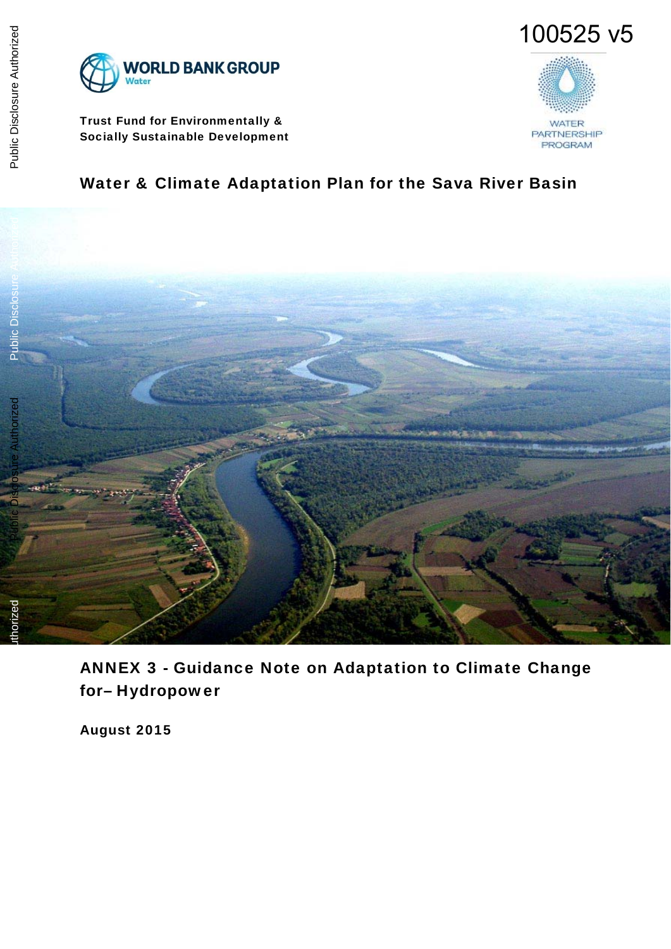



Trust Fund for Environmentally & Socially Sustainable Development



# Water & Climate Adaptation Plan for the Sava River Basin



ANNEX 3 - Guidance Note on Adaptation to Climate Change for– Hydropower

August 2015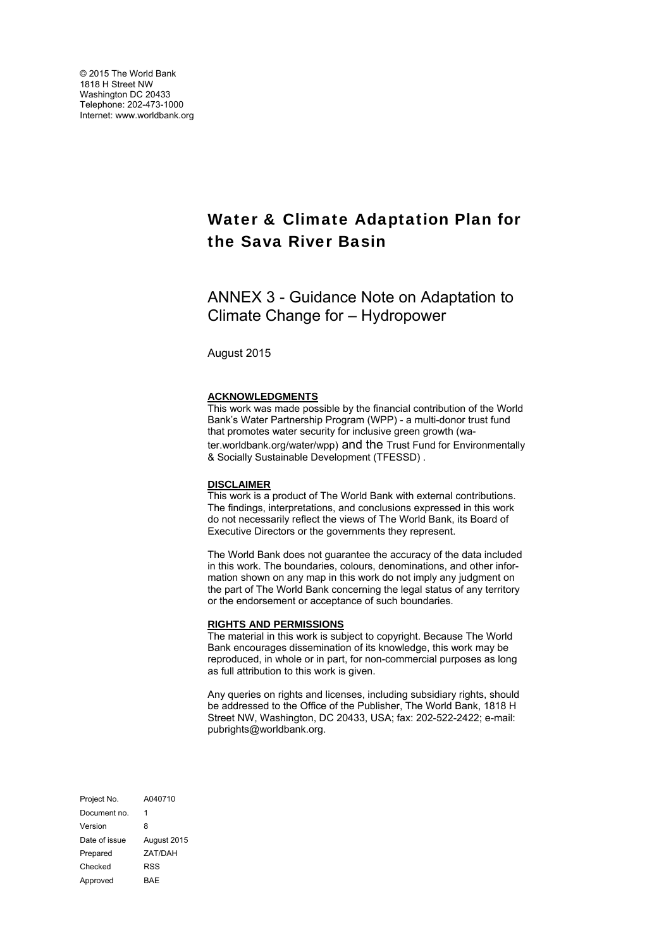# Water & Climate Adaptation Plan for the Sava River Basin

ANNEX 3 - Guidance Note on Adaptation to Climate Change for – Hydropower

August 2015

#### **ACKNOWLEDGMENTS**

This work was made possible by the financial contribution of the World Bank's Water Partnership Program (WPP) - a multi-donor trust fund that promotes water security for inclusive green growth (water.worldbank.org/water/wpp) and the Trust Fund for Environmentally & Socially Sustainable Development (TFESSD) .

#### **DISCLAIMER**

This work is a product of The World Bank with external contributions. The findings, interpretations, and conclusions expressed in this work do not necessarily reflect the views of The World Bank, its Board of Executive Directors or the governments they represent.

The World Bank does not guarantee the accuracy of the data included in this work. The boundaries, colours, denominations, and other information shown on any map in this work do not imply any judgment on the part of The World Bank concerning the legal status of any territory or the endorsement or acceptance of such boundaries.

#### **RIGHTS AND PERMISSIONS**

The material in this work is subject to copyright. Because The World Bank encourages dissemination of its knowledge, this work may be reproduced, in whole or in part, for non-commercial purposes as long as full attribution to this work is given.

Any queries on rights and licenses, including subsidiary rights, should be addressed to the Office of the Publisher, The World Bank, 1818 H Street NW, Washington, DC 20433, USA; fax: 202-522-2422; e-mail: pubrights@worldbank.org.

Project No. A040710 Document no. 1 Version 8 Date of issue August 2015 Prepared ZAT/DAH Checked RSS Approved BAE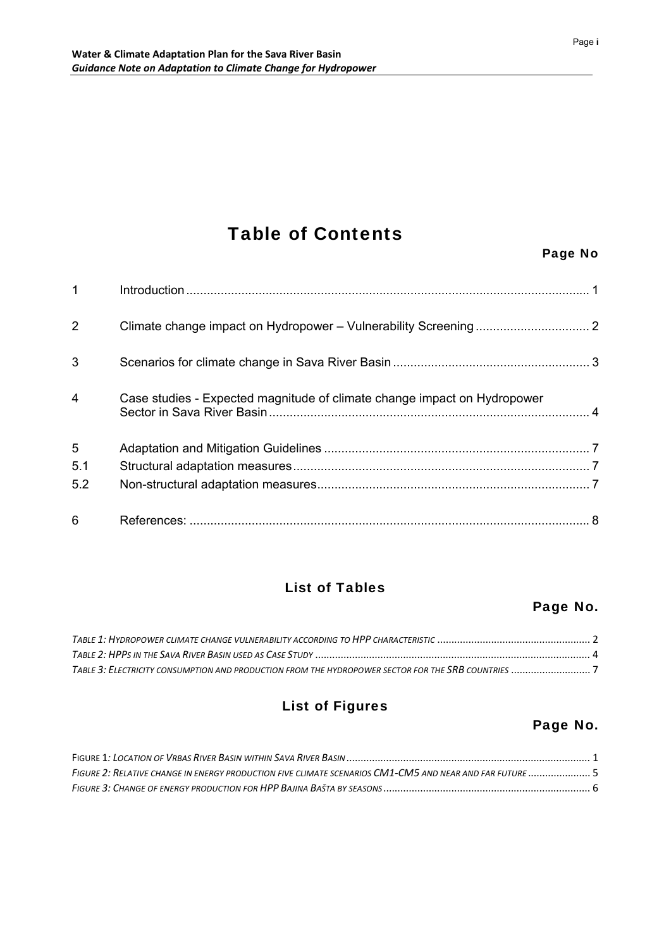# Table of Contents

| $\mathbf{1}$   |                                                                          |  |
|----------------|--------------------------------------------------------------------------|--|
| $\overline{2}$ |                                                                          |  |
| 3              |                                                                          |  |
| 4              | Case studies - Expected magnitude of climate change impact on Hydropower |  |
| 5              |                                                                          |  |
| 5.1            |                                                                          |  |
| 5.2            |                                                                          |  |
| 6              |                                                                          |  |

# List of Tables

# Page No.

## List of Figures

# Page No.

| FIGURE 2: RELATIVE CHANGE IN ENERGY PRODUCTION FIVE CLIMATE SCENARIOS CM1-CM5 AND NEAR AND FAR FUTURE |  |
|-------------------------------------------------------------------------------------------------------|--|
|                                                                                                       |  |

### Page No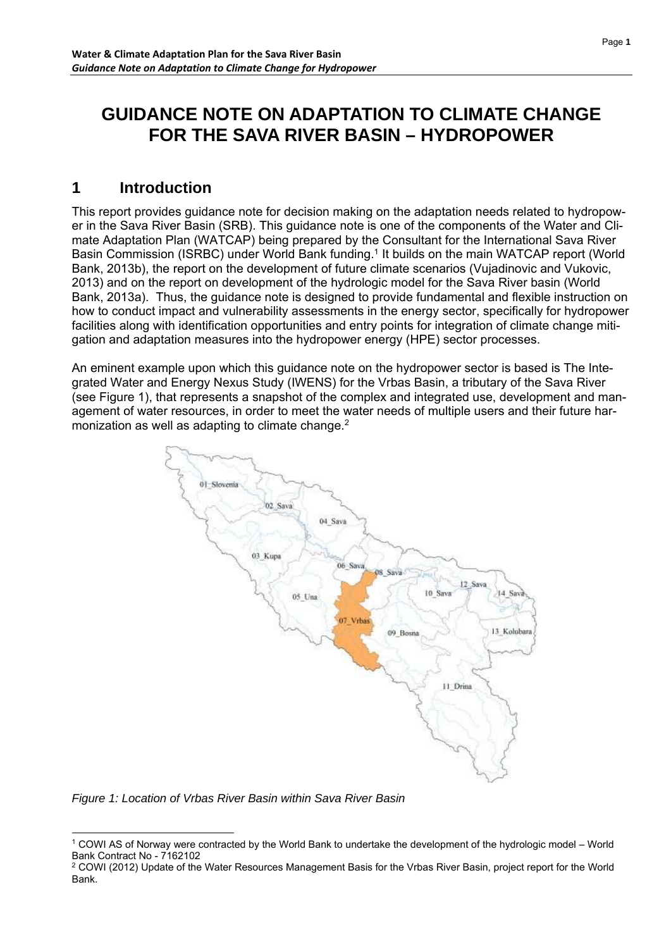# **GUIDANCE NOTE ON ADAPTATION TO CLIMATE CHANGE FOR THE SAVA RIVER BASIN – HYDROPOWER**

# **1 Introduction**

This report provides guidance note for decision making on the adaptation needs related to hydropower in the Sava River Basin (SRB). This guidance note is one of the components of the Water and Climate Adaptation Plan (WATCAP) being prepared by the Consultant for the International Sava River Basin Commission (ISRBC) under World Bank funding.1 It builds on the main WATCAP report (World Bank, 2013b), the report on the development of future climate scenarios (Vujadinovic and Vukovic, 2013) and on the report on development of the hydrologic model for the Sava River basin (World Bank, 2013a). Thus, the guidance note is designed to provide fundamental and flexible instruction on how to conduct impact and vulnerability assessments in the energy sector, specifically for hydropower facilities along with identification opportunities and entry points for integration of climate change mitigation and adaptation measures into the hydropower energy (HPE) sector processes.

An eminent example upon which this guidance note on the hydropower sector is based is The Integrated Water and Energy Nexus Study (IWENS) for the Vrbas Basin, a tributary of the Sava River (see Figure 1), that represents a snapshot of the complex and integrated use, development and management of water resources, in order to meet the water needs of multiple users and their future harmonization as well as adapting to climate change.<sup>2</sup>



*Figure 1: Location of Vrbas River Basin within Sava River Basin* 

<sup>-</sup>1 COWI AS of Norway were contracted by the World Bank to undertake the development of the hydrologic model – World Bank Contract No - 7162102

<sup>&</sup>lt;sup>2</sup> COWI (2012) Update of the Water Resources Management Basis for the Vrbas River Basin, project report for the World Bank.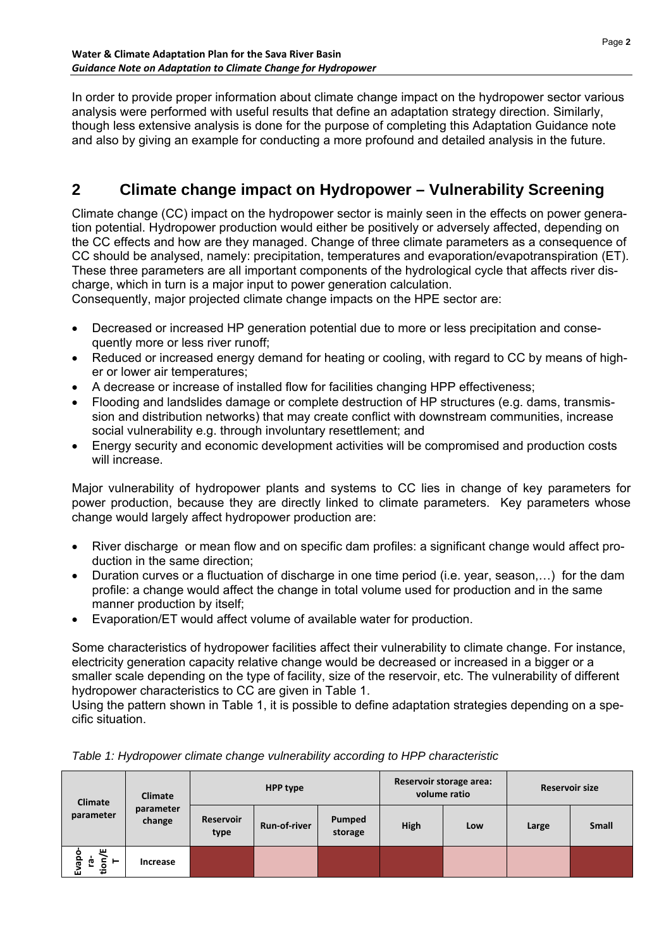In order to provide proper information about climate change impact on the hydropower sector various analysis were performed with useful results that define an adaptation strategy direction. Similarly, though less extensive analysis is done for the purpose of completing this Adaptation Guidance note and also by giving an example for conducting a more profound and detailed analysis in the future.

# **2 Climate change impact on Hydropower – Vulnerability Screening**

Climate change (CC) impact on the hydropower sector is mainly seen in the effects on power generation potential. Hydropower production would either be positively or adversely affected, depending on the CC effects and how are they managed. Change of three climate parameters as a consequence of CC should be analysed, namely: precipitation, temperatures and evaporation/evapotranspiration (ET). These three parameters are all important components of the hydrological cycle that affects river discharge, which in turn is a major input to power generation calculation.

Consequently, major projected climate change impacts on the HPE sector are:

- Decreased or increased HP generation potential due to more or less precipitation and consequently more or less river runoff;
- Reduced or increased energy demand for heating or cooling, with regard to CC by means of higher or lower air temperatures;
- A decrease or increase of installed flow for facilities changing HPP effectiveness;
- Flooding and landslides damage or complete destruction of HP structures (e.g. dams, transmission and distribution networks) that may create conflict with downstream communities, increase social vulnerability e.g. through involuntary resettlement; and
- Energy security and economic development activities will be compromised and production costs will increase.

Major vulnerability of hydropower plants and systems to CC lies in change of key parameters for power production, because they are directly linked to climate parameters. Key parameters whose change would largely affect hydropower production are:

- River discharge or mean flow and on specific dam profiles: a significant change would affect production in the same direction;
- Duration curves or a fluctuation of discharge in one time period (i.e. year, season,…) for the dam profile: a change would affect the change in total volume used for production and in the same manner production by itself;
- Evaporation/ET would affect volume of available water for production.

Some characteristics of hydropower facilities affect their vulnerability to climate change. For instance, electricity generation capacity relative change would be decreased or increased in a bigger or a smaller scale depending on the type of facility, size of the reservoir, etc. The vulnerability of different hydropower characteristics to CC are given in Table 1.

Using the pattern shown in Table 1, it is possible to define adaptation strategies depending on a specific situation.

| Climate<br>parameter                    | <b>Climate</b>      | <b>HPP type</b>          |                     | Reservoir storage area:<br>volume ratio |      | <b>Reservoir size</b> |       |              |
|-----------------------------------------|---------------------|--------------------------|---------------------|-----------------------------------------|------|-----------------------|-------|--------------|
|                                         | parameter<br>change | <b>Reservoir</b><br>type | <b>Run-of-river</b> | Pumped<br>storage                       | High | Low                   | Large | <b>Small</b> |
| ш<br>o<br>Ω<br>tion<br>Ġ<br>ಸ<br>⊢<br>ŵ | Increase            |                          |                     |                                         |      |                       |       |              |

*Table 1: Hydropower climate change vulnerability according to HPP characteristic*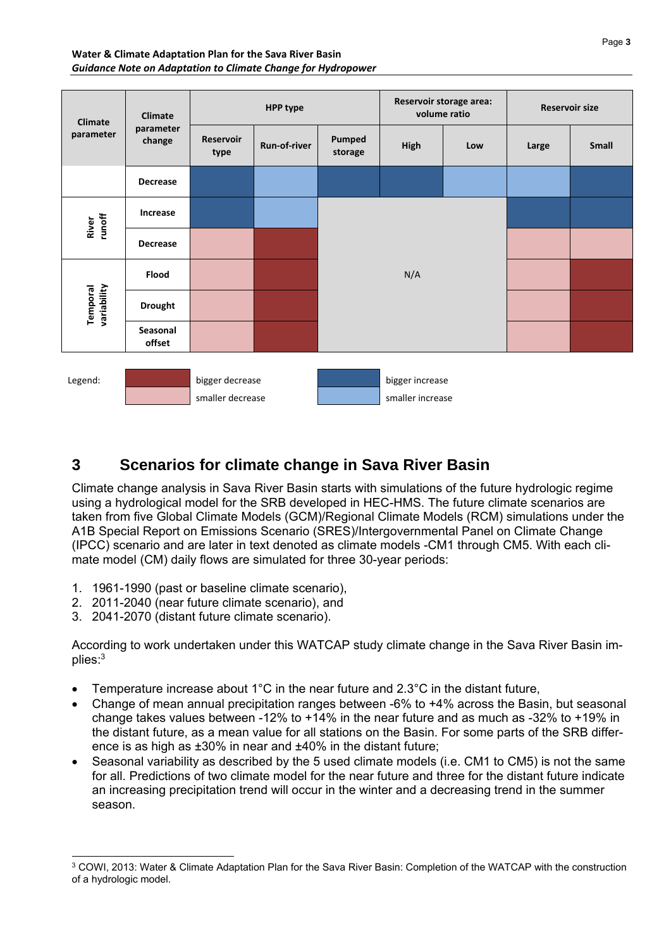#### **Water & Climate Adaptation Plan for the Sava River Basin**  *Guidance Note on Adaptation to Climate Change for Hydropower*

| <b>Climate</b><br>parameter | <b>Climate</b><br>parameter<br>change | <b>HPP type</b>                     |              |                   | Reservoir storage area:<br>volume ratio |     | <b>Reservoir size</b> |              |
|-----------------------------|---------------------------------------|-------------------------------------|--------------|-------------------|-----------------------------------------|-----|-----------------------|--------------|
|                             |                                       | <b>Reservoir</b><br>type            | Run-of-river | Pumped<br>storage | High                                    | Low | Large                 | <b>Small</b> |
|                             | <b>Decrease</b>                       |                                     |              |                   |                                         |     |                       |              |
| River<br>runoff             | Increase                              |                                     |              | N/A               |                                         |     |                       |              |
|                             | <b>Decrease</b>                       |                                     |              |                   |                                         |     |                       |              |
|                             | <b>Flood</b>                          |                                     |              |                   |                                         |     |                       |              |
| variability<br>Temporal     | <b>Drought</b>                        |                                     |              |                   |                                         |     |                       |              |
|                             | Seasonal<br>offset                    |                                     |              |                   |                                         |     |                       |              |
| Legend:                     |                                       | bigger decrease<br>smaller decrease |              |                   | bigger increase<br>smaller increase     |     |                       |              |

# **3 Scenarios for climate change in Sava River Basin**

Climate change analysis in Sava River Basin starts with simulations of the future hydrologic regime using a hydrological model for the SRB developed in HEC-HMS. The future climate scenarios are taken from five Global Climate Models (GCM)/Regional Climate Models (RCM) simulations under the A1B Special Report on Emissions Scenario (SRES)/Intergovernmental Panel on Climate Change (IPCC) scenario and are later in text denoted as climate models -CM1 through CM5. With each climate model (CM) daily flows are simulated for three 30-year periods:

- 1. 1961-1990 (past or baseline climate scenario),
- 2. 2011-2040 (near future climate scenario), and
- 3. 2041-2070 (distant future climate scenario).

-

According to work undertaken under this WATCAP study climate change in the Sava River Basin implies:3

- Temperature increase about 1°C in the near future and 2.3°C in the distant future,
- Change of mean annual precipitation ranges between -6% to +4% across the Basin, but seasonal change takes values between -12% to +14% in the near future and as much as -32% to +19% in the distant future, as a mean value for all stations on the Basin. For some parts of the SRB difference is as high as ±30% in near and ±40% in the distant future;
- Seasonal variability as described by the 5 used climate models (i.e. CM1 to CM5) is not the same for all. Predictions of two climate model for the near future and three for the distant future indicate an increasing precipitation trend will occur in the winter and a decreasing trend in the summer season.

<sup>3</sup> COWI, 2013: Water & Climate Adaptation Plan for the Sava River Basin: Completion of the WATCAP with the construction of a hydrologic model.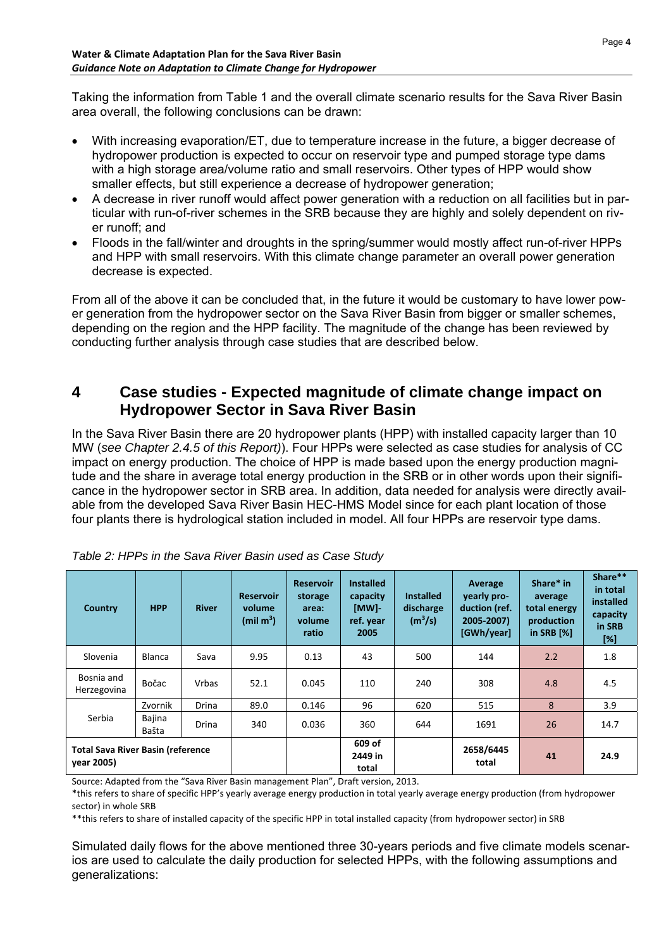Taking the information from Table 1 and the overall climate scenario results for the Sava River Basin area overall, the following conclusions can be drawn:

- With increasing evaporation/ET, due to temperature increase in the future, a bigger decrease of hydropower production is expected to occur on reservoir type and pumped storage type dams with a high storage area/volume ratio and small reservoirs. Other types of HPP would show smaller effects, but still experience a decrease of hydropower generation;
- A decrease in river runoff would affect power generation with a reduction on all facilities but in particular with run-of-river schemes in the SRB because they are highly and solely dependent on river runoff; and
- Floods in the fall/winter and droughts in the spring/summer would mostly affect run-of-river HPPs and HPP with small reservoirs. With this climate change parameter an overall power generation decrease is expected.

From all of the above it can be concluded that, in the future it would be customary to have lower power generation from the hydropower sector on the Sava River Basin from bigger or smaller schemes, depending on the region and the HPP facility. The magnitude of the change has been reviewed by conducting further analysis through case studies that are described below.

## **4 Case studies - Expected magnitude of climate change impact on Hydropower Sector in Sava River Basin**

In the Sava River Basin there are 20 hydropower plants (HPP) with installed capacity larger than 10 MW (*see Chapter 2.4.5 of this Report)*). Four HPPs were selected as case studies for analysis of CC impact on energy production. The choice of HPP is made based upon the energy production magnitude and the share in average total energy production in the SRB or in other words upon their significance in the hydropower sector in SRB area. In addition, data needed for analysis were directly available from the developed Sava River Basin HEC-HMS Model since for each plant location of those four plants there is hydrological station included in model. All four HPPs are reservoir type dams.

| Country                                                 | <b>HPP</b>      | <b>River</b> | <b>Reservoir</b><br>volume<br>(min m <sup>3</sup> ) | <b>Reservoir</b><br>storage<br>area:<br>volume<br>ratio | <b>Installed</b><br>capacity<br>[MW]-<br>ref. year<br>2005 | <b>Installed</b><br>discharge<br>(m <sup>3</sup> /s) | Average<br>vearly pro-<br>duction (ref.<br>2005-2007)<br>[GWh/year] | Share* in<br>average<br>total energy<br>production<br>in SRB $[%]$ | Share**<br>in total<br>installed<br>capacity<br>in SRB<br>[%] |
|---------------------------------------------------------|-----------------|--------------|-----------------------------------------------------|---------------------------------------------------------|------------------------------------------------------------|------------------------------------------------------|---------------------------------------------------------------------|--------------------------------------------------------------------|---------------------------------------------------------------|
| Slovenia                                                | Blanca          | Sava         | 9.95                                                | 0.13                                                    | 43                                                         | 500                                                  | 144                                                                 | 2.2                                                                | 1.8                                                           |
| Bosnia and<br>Herzegovina                               | Bočac           | <b>Vrbas</b> | 52.1                                                | 0.045                                                   | 110                                                        | 240                                                  | 308                                                                 | 4.8                                                                | 4.5                                                           |
|                                                         | Zvornik         | <b>Drina</b> | 89.0                                                | 0.146                                                   | 96                                                         | 620                                                  | 515                                                                 | 8                                                                  | 3.9                                                           |
| Serbia                                                  | Bajina<br>Bašta | Drina        | 340                                                 | 0.036                                                   | 360                                                        | 644                                                  | 1691                                                                | 26                                                                 | 14.7                                                          |
| <b>Total Sava River Basin (reference)</b><br>vear 2005) |                 |              |                                                     | 609 of<br>2449 in<br>total                              |                                                            | 2658/6445<br>total                                   | 41                                                                  | 24.9                                                               |                                                               |

|  |  | Table 2: HPPs in the Sava River Basin used as Case Study |  |
|--|--|----------------------------------------------------------|--|
|--|--|----------------------------------------------------------|--|

Source: Adapted from the "Sava River Basin management Plan", Draft version, 2013.

\*this refers to share of specific HPP's yearly average energy production in total yearly average energy production (from hydropower sector) in whole SRB

\*\*this refers to share of installed capacity of the specific HPP in total installed capacity (from hydropower sector) in SRB

Simulated daily flows for the above mentioned three 30-years periods and five climate models scenarios are used to calculate the daily production for selected HPPs, with the following assumptions and generalizations: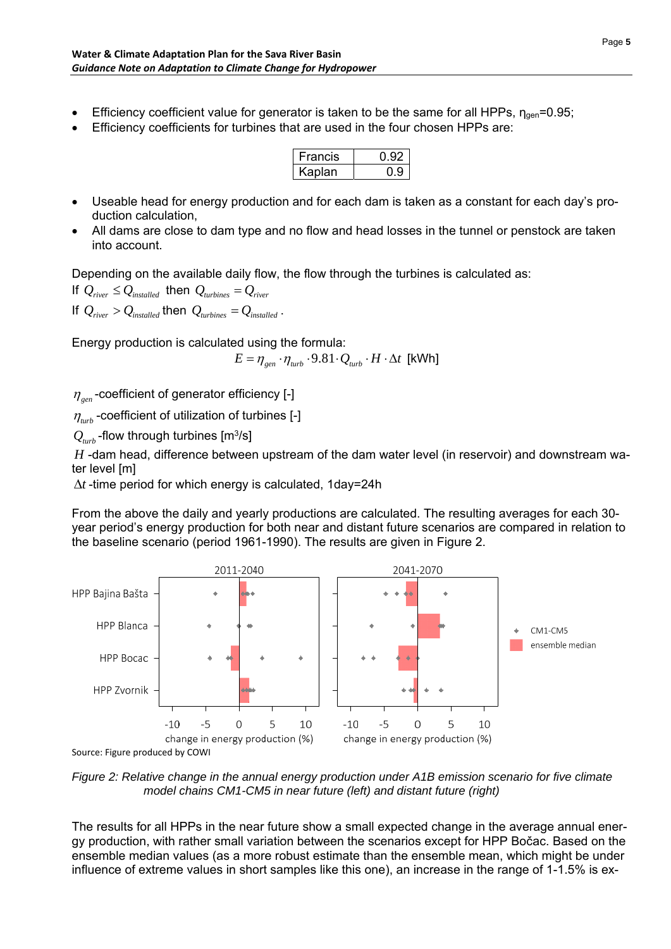- Efficiency coefficient value for generator is taken to be the same for all HPPs,  $n_{\text{cen}}$ =0.95;
- Efficiency coefficients for turbines that are used in the four chosen HPPs are:

| -rancis       | м∠ |
|---------------|----|
| <b>Kaplan</b> |    |

- Useable head for energy production and for each dam is taken as a constant for each day's production calculation,
- All dams are close to dam type and no flow and head losses in the tunnel or penstock are taken into account.

Depending on the available daily flow, the flow through the turbines is calculated as:

If  $Q_{\text{river}} \leq Q_{\text{installed}}$  then  $Q_{\text{turbines}} = Q_{\text{river}}$ If  $Q_{\text{river}} > Q_{\text{installed}}$  then  $Q_{\text{turbines}} = Q_{\text{installed}}$ .

Energy production is calculated using the formula:

 $E = \eta_{gen} \cdot \eta_{turb} \cdot 9.81 \cdot Q_{turb} \cdot H \cdot \Delta t$  [kWh]

 $\eta_{\text{gen}}$ -coefficient of generator efficiency [-]

 $\eta_{\mu\nu}$  -coefficient of utilization of turbines [-]

 $Q_{turb}$  -flow through turbines  $[m^3/s]$ 

*H* -dam head, difference between upstream of the dam water level (in reservoir) and downstream water level [m]

 $\Delta t$ -time period for which energy is calculated, 1day=24h

From the above the daily and yearly productions are calculated. The resulting averages for each 30 year period's energy production for both near and distant future scenarios are compared in relation to the baseline scenario (period 1961-1990). The results are given in Figure 2.



Source: Figure produced by COWI

*Figure 2: Relative change in the annual energy production under A1B emission scenario for five climate model chains CM1-CM5 in near future (left) and distant future (right)* 

The results for all HPPs in the near future show a small expected change in the average annual energy production, with rather small variation between the scenarios except for HPP Bočac. Based on the ensemble median values (as a more robust estimate than the ensemble mean, which might be under influence of extreme values in short samples like this one), an increase in the range of 1-1.5% is ex-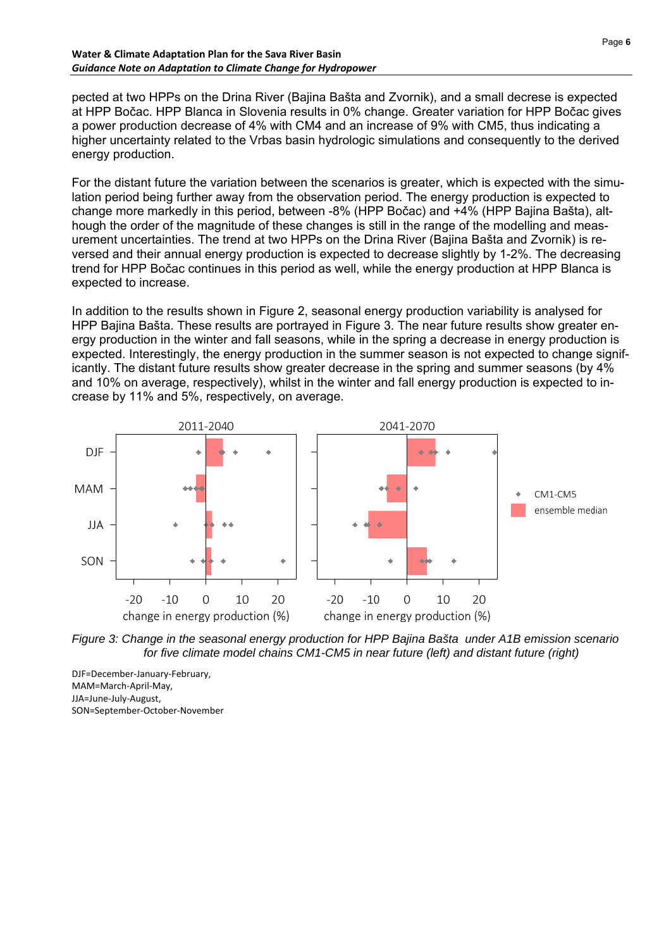#### **Water & Climate Adaptation Plan for the Sava River Basin**  *Guidance Note on Adaptation to Climate Change for Hydropower*

pected at two HPPs on the Drina River (Bajina Bašta and Zvornik), and a small decrese is expected at HPP Bočac. HPP Blanca in Slovenia results in 0% change. Greater variation for HPP Bočac gives a power production decrease of 4% with CM4 and an increase of 9% with CM5, thus indicating a higher uncertainty related to the Vrbas basin hydrologic simulations and consequently to the derived energy production.

For the distant future the variation between the scenarios is greater, which is expected with the simulation period being further away from the observation period. The energy production is expected to change more markedly in this period, between -8% (HPP Bočac) and +4% (HPP Bajina Bašta), although the order of the magnitude of these changes is still in the range of the modelling and measurement uncertainties. The trend at two HPPs on the Drina River (Bajina Bašta and Zvornik) is reversed and their annual energy production is expected to decrease slightly by 1-2%. The decreasing trend for HPP Bočac continues in this period as well, while the energy production at HPP Blanca is expected to increase.

In addition to the results shown in Figure 2, seasonal energy production variability is analysed for HPP Bajina Bašta. These results are portrayed in Figure 3. The near future results show greater energy production in the winter and fall seasons, while in the spring a decrease in energy production is expected. Interestingly, the energy production in the summer season is not expected to change significantly. The distant future results show greater decrease in the spring and summer seasons (by 4% and 10% on average, respectively), whilst in the winter and fall energy production is expected to increase by 11% and 5%, respectively, on average.





DJF=December‐January‐February, MAM=March‐April‐May, JJA=June‐July‐August, SON=September‐October‐November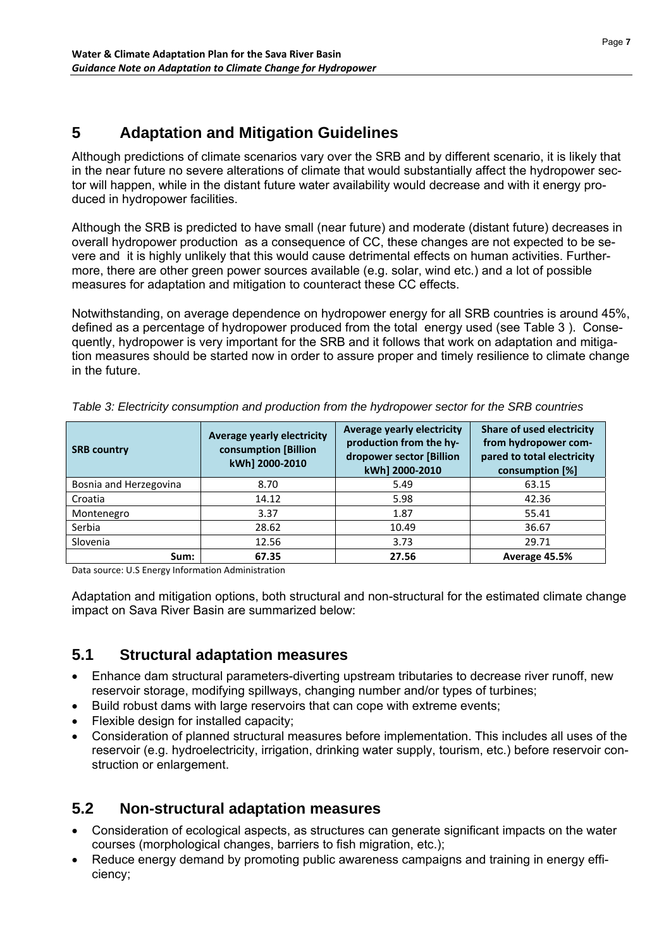# **5 Adaptation and Mitigation Guidelines**

Although predictions of climate scenarios vary over the SRB and by different scenario, it is likely that in the near future no severe alterations of climate that would substantially affect the hydropower sector will happen, while in the distant future water availability would decrease and with it energy produced in hydropower facilities.

Although the SRB is predicted to have small (near future) and moderate (distant future) decreases in overall hydropower production as a consequence of CC, these changes are not expected to be severe and it is highly unlikely that this would cause detrimental effects on human activities. Furthermore, there are other green power sources available (e.g. solar, wind etc.) and a lot of possible measures for adaptation and mitigation to counteract these CC effects.

Notwithstanding, on average dependence on hydropower energy for all SRB countries is around 45%, defined as a percentage of hydropower produced from the total energy used (see Table 3 ). Consequently, hydropower is very important for the SRB and it follows that work on adaptation and mitigation measures should be started now in order to assure proper and timely resilience to climate change in the future.

| <b>SRB country</b>     | <b>Average yearly electricity</b><br>consumption [Billion<br>kWh] 2000-2010 | <b>Average yearly electricity</b><br>production from the hy-<br>dropower sector [Billion<br>kWh] 2000-2010 | Share of used electricity<br>from hydropower com-<br>pared to total electricity<br>consumption [%] |
|------------------------|-----------------------------------------------------------------------------|------------------------------------------------------------------------------------------------------------|----------------------------------------------------------------------------------------------------|
| Bosnia and Herzegovina | 8.70                                                                        | 5.49                                                                                                       | 63.15                                                                                              |
| Croatia                | 14.12                                                                       | 5.98                                                                                                       | 42.36                                                                                              |
| Montenegro             | 3.37                                                                        | 1.87                                                                                                       | 55.41                                                                                              |
| Serbia                 | 28.62                                                                       | 10.49                                                                                                      | 36.67                                                                                              |
| Slovenia               | 12.56                                                                       | 3.73                                                                                                       | 29.71                                                                                              |
| Sum:                   | 67.35                                                                       | 27.56                                                                                                      | Average 45.5%                                                                                      |

*Table 3: Electricity consumption and production from the hydropower sector for the SRB countries* 

Data source: U.S Energy Information Administration

Adaptation and mitigation options, both structural and non-structural for the estimated climate change impact on Sava River Basin are summarized below:

## **5.1 Structural adaptation measures**

- Enhance dam structural parameters-diverting upstream tributaries to decrease river runoff, new reservoir storage, modifying spillways, changing number and/or types of turbines;
- Build robust dams with large reservoirs that can cope with extreme events;
- Flexible design for installed capacity;
- Consideration of planned structural measures before implementation. This includes all uses of the reservoir (e.g. hydroelectricity, irrigation, drinking water supply, tourism, etc.) before reservoir construction or enlargement.

## **5.2 Non-structural adaptation measures**

- Consideration of ecological aspects, as structures can generate significant impacts on the water courses (morphological changes, barriers to fish migration, etc.);
- Reduce energy demand by promoting public awareness campaigns and training in energy efficiency;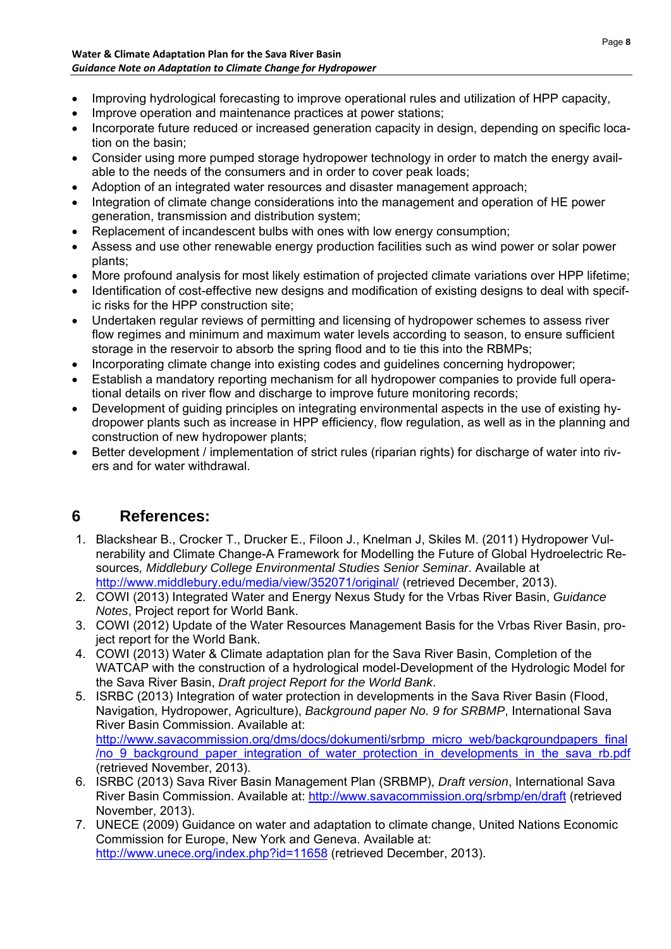- Improving hydrological forecasting to improve operational rules and utilization of HPP capacity,
- Improve operation and maintenance practices at power stations;
- Incorporate future reduced or increased generation capacity in design, depending on specific location on the basin;
- Consider using more pumped storage hydropower technology in order to match the energy available to the needs of the consumers and in order to cover peak loads;
- Adoption of an integrated water resources and disaster management approach;
- Integration of climate change considerations into the management and operation of HE power generation, transmission and distribution system;
- Replacement of incandescent bulbs with ones with low energy consumption;
- Assess and use other renewable energy production facilities such as wind power or solar power plants;
- More profound analysis for most likely estimation of projected climate variations over HPP lifetime;
- Identification of cost-effective new designs and modification of existing designs to deal with specific risks for the HPP construction site;
- Undertaken regular reviews of permitting and licensing of hydropower schemes to assess river flow regimes and minimum and maximum water levels according to season, to ensure sufficient storage in the reservoir to absorb the spring flood and to tie this into the RBMPs;
- Incorporating climate change into existing codes and guidelines concerning hydropower;
- Establish a mandatory reporting mechanism for all hydropower companies to provide full operational details on river flow and discharge to improve future monitoring records;
- Development of guiding principles on integrating environmental aspects in the use of existing hydropower plants such as increase in HPP efficiency, flow regulation, as well as in the planning and construction of new hydropower plants;
- Better development / implementation of strict rules (riparian rights) for discharge of water into rivers and for water withdrawal.

# **6 References:**

- 1. Blackshear B., Crocker T., Drucker E., Filoon J., Knelman J, Skiles M. (2011) Hydropower Vulnerability and Climate Change-A Framework for Modelling the Future of Global Hydroelectric Resources*, Middlebury College Environmental Studies Senior Seminar*. Available at http://www.middlebury.edu/media/view/352071/original/ (retrieved December, 2013).
- 2. COWI (2013) Integrated Water and Energy Nexus Study for the Vrbas River Basin, *Guidance Notes*, Project report for World Bank.
- 3. COWI (2012) Update of the Water Resources Management Basis for the Vrbas River Basin, project report for the World Bank.
- 4. COWI (2013) Water & Climate adaptation plan for the Sava River Basin, Completion of the WATCAP with the construction of a hydrological model-Development of the Hydrologic Model for the Sava River Basin, *Draft project Report for the World Bank*.
- 5. ISRBC (2013) Integration of water protection in developments in the Sava River Basin (Flood, Navigation, Hydropower, Agriculture), *Background paper No. 9 for SRBMP*, International Sava River Basin Commission. Available at: http://www.savacommission.org/dms/docs/dokumenti/srbmp\_micro\_web/backgroundpapers\_final /no\_9\_background\_paper\_integration\_of\_water\_protection\_in\_developments\_in\_the\_sava\_rb.pdf (retrieved November, 2013).
- 6. ISRBC (2013) Sava River Basin Management Plan (SRBMP), *Draft version*, International Sava River Basin Commission. Available at: http://www.savacommission.org/srbmp/en/draft (retrieved November, 2013).
- 7. UNECE (2009) Guidance on water and adaptation to climate change, United Nations Economic Commission for Europe, New York and Geneva. Available at: http://www.unece.org/index.php?id=11658 (retrieved December, 2013).